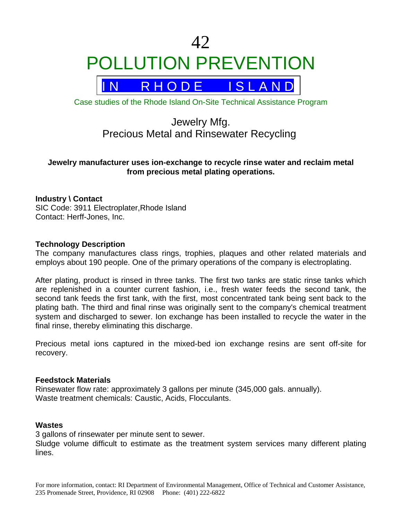# 42 POLLUTION PREVENTION



Case studies of the Rhode Island On-Site Technical Assistance Program

# Jewelry Mfg. Precious Metal and Rinsewater Recycling

# **Jewelry manufacturer uses ion-exchange to recycle rinse water and reclaim metal from precious metal plating operations.**

# **Industry \ Contact**

SIC Code: 3911 Electroplater,Rhode Island Contact: Herff-Jones, Inc.

# **Technology Description**

The company manufactures class rings, trophies, plaques and other related materials and employs about 190 people. One of the primary operations of the company is electroplating.

After plating, product is rinsed in three tanks. The first two tanks are static rinse tanks which are replenished in a counter current fashion, i.e., fresh water feeds the second tank, the second tank feeds the first tank, with the first, most concentrated tank being sent back to the plating bath. The third and final rinse was originally sent to the company's chemical treatment system and discharged to sewer. Ion exchange has been installed to recycle the water in the final rinse, thereby eliminating this discharge.

Precious metal ions captured in the mixed-bed ion exchange resins are sent off-site for recovery.

# **Feedstock Materials**

Rinsewater flow rate: approximately 3 gallons per minute (345,000 gals. annually). Waste treatment chemicals: Caustic, Acids, Flocculants.

#### **Wastes**

3 gallons of rinsewater per minute sent to sewer.

Sludge volume difficult to estimate as the treatment system services many different plating lines.